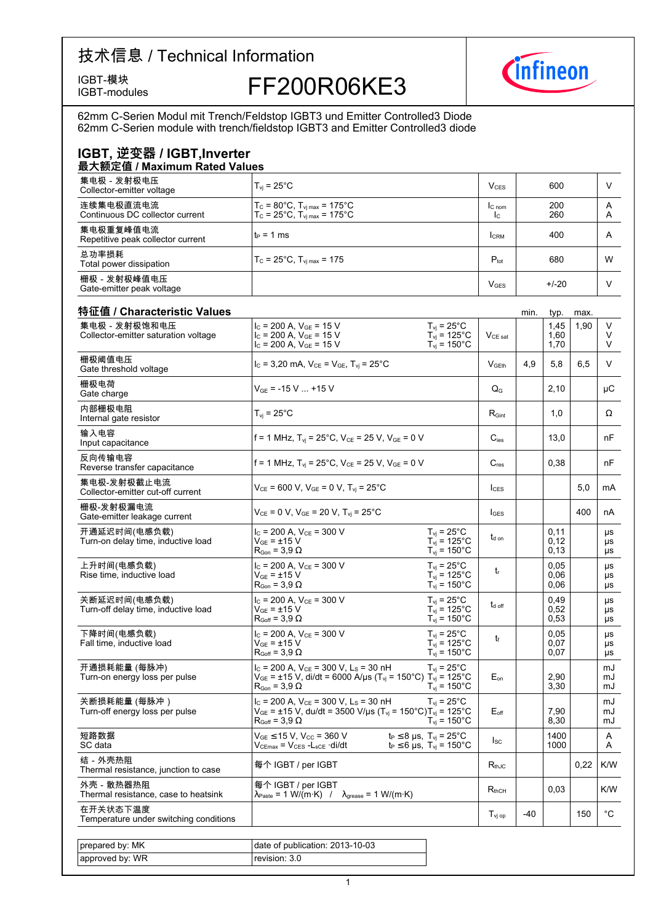# 技术信息 / Technical Information



IGBT-模块<br>IGBT-modules FF200R06KE3



62mm C-Serien Modul mit Trench/Feldstop IGBT3 und Emitter Controlled3 Diode<br>62mm C-Serien module with trench/fieldstop IGBT3 and Emitter Controlled3 diode

### **IGBT,-逆变器-/-IGBT,Inverter**

| 最大额定值 / Maximum Rated Values                   |                                                                                                                       |                          |            |        |  |  |
|------------------------------------------------|-----------------------------------------------------------------------------------------------------------------------|--------------------------|------------|--------|--|--|
| 集电极 - 发射极电压<br>Collector-emitter voltage       | $T_{\rm vi}$ = 25°C.                                                                                                  | V <sub>CES</sub>         | 600        |        |  |  |
| 连续集电极直流电流<br>Continuous DC collector current   | $T_c = 80^{\circ}$ C, $T_{\text{vi max}} = 175^{\circ}$ C<br>$T_c = 25^{\circ}C$ , $T_{\text{vi max}} = 175^{\circ}C$ | IC <sub>nom</sub><br>Ic. | 200<br>260 | A<br>A |  |  |
| 集电极重复峰值电流<br>Repetitive peak collector current | $t_P = 1$ ms                                                                                                          | <b>CRM</b>               | 400        | A      |  |  |
| 总功率损耗<br>Total power dissipation               | $T_c = 25^{\circ}$ C, $T_{\text{vi max}} = 175$                                                                       | $P_{\text{tot}}$         | 680        | W      |  |  |
| 栅极 - 发射极峰值电压<br>Gate-emitter peak voltage      |                                                                                                                       | <b>V<sub>GES</sub></b>   | $+/-20$    |        |  |  |

| 特征值 / Characteristic Values<br>集电极-发射极饱和电压          |                                                                                                                                                                              | $T_{vi}$ = 25°C                                                                     |                     | min.  | typ.<br>1,45         | max.<br>1.90 | V              |
|-----------------------------------------------------|------------------------------------------------------------------------------------------------------------------------------------------------------------------------------|-------------------------------------------------------------------------------------|---------------------|-------|----------------------|--------------|----------------|
| Collector-emitter saturation voltage                | $I_c$ = 200 A, $V_{GE}$ = 15 V<br>$I_c$ = 200 A, $V_{GE}$ = 15 V<br>$I_c$ = 200 A, $V_{GE}$ = 15 V                                                                           | $T_{\text{vj}}$ = 125°C<br>$T_{\text{vj}}$ = 150°C                                  | $V_{CE\ sat}$       |       | 1,60<br>1,70         |              | V<br>V         |
| 栅极阈值电压<br>Gate threshold voltage                    | $I_C = 3,20$ mA, $V_{CE} = V_{GE}$ , $T_{vj} = 25^{\circ}C$                                                                                                                  |                                                                                     | V <sub>GFth</sub>   | 4.9   | 5.8                  | 6.5          | V              |
| 栅极电荷<br>Gate charge                                 | $V_{GE}$ = -15 V  +15 V                                                                                                                                                      |                                                                                     | $Q_{\rm G}$         |       | 2,10                 |              | μC             |
| 内部栅极电阻<br>Internal gate resistor                    | $T_{vi}$ = 25°C                                                                                                                                                              |                                                                                     | $R_{\text{Gint}}$   |       | 1,0                  |              | Ω              |
| 输入电容<br>Input capacitance                           | f = 1 MHz, T <sub>vi</sub> = 25°C, V <sub>CE</sub> = 25 V, V <sub>GE</sub> = 0 V                                                                                             |                                                                                     | $C_{\text{ies}}$    |       | 13,0                 |              | nF             |
| 反向传输电容<br>Reverse transfer capacitance              | f = 1 MHz, T <sub>vi</sub> = 25°C, V <sub>CE</sub> = 25 V, V <sub>GE</sub> = 0 V                                                                                             |                                                                                     | $C_{res}$           |       | 0,38                 |              | nF             |
| 集电极-发射极截止电流<br>Collector-emitter cut-off current    | $V_{CE}$ = 600 V, $V_{GE}$ = 0 V, $T_{vi}$ = 25°C                                                                                                                            |                                                                                     | $l_{\text{CES}}$    |       |                      | 5,0          | mA             |
| 栅极-发射极漏电流<br>Gate-emitter leakage current           | $V_{CE}$ = 0 V, $V_{GE}$ = 20 V, T <sub>vi</sub> = 25°C                                                                                                                      |                                                                                     | $I_{\text{GES}}$    |       |                      | 400          | nA             |
| 开通延迟时间(电感负载)<br>Turn-on delay time, inductive load  | $I_C$ = 200 A, $V_{CE}$ = 300 V<br>$V_{GE}$ = $\pm$ 15 V<br>$R_{\text{Gon}} = 3.9 \Omega$                                                                                    | $T_{vi}$ = 25°C<br>$T_{\rm vj}$ = 125°C<br>$T_{vi}$ = 150 $^{\circ}$ C              | t <sub>d on</sub>   |       | 0,11<br>0,12<br>0,13 |              | μs<br>μs<br>μs |
| 上升时间(电感负载)<br>Rise time, inductive load             | $I_C$ = 200 A, $V_{CE}$ = 300 V<br>$V_{GE}$ = $\pm$ 15 V<br>$R_{\text{Gon}} = 3.9 \Omega$                                                                                    | $T_{vi}$ = 25°C<br>$T_{vi}$ = 125°C<br>$T_{vi}$ = 150 $^{\circ}$ C                  | $t_{r}$             |       | 0.05<br>0,06<br>0,06 |              | μs<br>μs<br>μs |
| 关断延迟时间(电感负载)<br>Turn-off delay time, inductive load | $I_C$ = 200 A, $V_{CE}$ = 300 V<br>$V_{GE}$ = $\pm$ 15 V<br>$R_{Goff}$ = 3,9 $\Omega$                                                                                        | $T_{vi}$ = 25°C<br>$T_{\text{vj}}$ = 125°C<br>$T_{vi}$ = 150 $^{\circ}$ C           | $t_{d \text{ off}}$ |       | 0,49<br>0,52<br>0.53 |              | μs<br>μs<br>μs |
| 下降时间(电感负载)<br>Fall time, inductive load             | $I_C = 200$ A, $V_{CE} = 300$ V<br>$V_{GE}$ = $\pm$ 15 V<br>$R_{Goff}$ = 3.9 $\Omega$                                                                                        | $T_{\rm{vj}}$ = 25°C<br>$T_{\rm vj}$ = 125°C<br>$T_{vi}$ = 150 $^{\circ}$ C         | t                   |       | 0.05<br>0,07<br>0.07 |              | μs<br>μs<br>μs |
| 开通损耗能量 (每脉冲)<br>Turn-on energy loss per pulse       | $I_c$ = 200 A, $V_{CE}$ = 300 V, L <sub>s</sub> = 30 nH<br>$V_{GE}$ = ±15 V, di/dt = 6000 A/µs (T <sub>vj</sub> = 150°C) T <sub>vj</sub> = 125°C<br>$R_{Gon}$ = 3.9 $\Omega$ | $T_{vi}$ = 25°C<br>$T_{vi}$ = 150 $^{\circ}$ C                                      | $E_{\text{on}}$     |       | 2.90<br>3,30         |              | mJ<br>mJ<br>mJ |
| 关断损耗能量 (每脉冲)<br>Turn-off energy loss per pulse      | $I_c$ = 200 A, $V_{CE}$ = 300 V, L <sub>S</sub> = 30 nH<br>$V_{GE}$ = ±15 V, du/dt = 3500 V/µs (T <sub>vj</sub> = 150°C)T <sub>vj</sub> = 125°C<br>$R_{Goff} = 3.9 \Omega$   | $T_{vi}$ = 25°C<br>$T_{\text{vj}}$ = 150°C                                          | $E_{\text{off}}$    |       | 7,90<br>8,30         |              | mJ<br>mJ<br>mJ |
| 短路数据<br>SC data                                     | $V_{GE}$ $\leq$ 15 V, V $_{CC}$ = 360 V<br>Vcemax = Vces -Lsce ·di/dt                                                                                                        | $t_P \leq 8$ µs, $T_{vj} = 25^{\circ}C$<br>$t_P \le 6$ µs, $T_{vi} = 150^{\circ}$ C | $I_{SC}$            |       | 1400<br>1000         |              | Α<br>Α         |
| 结-外壳热阻<br>Thermal resistance, junction to case      | 每个 IGBT / per IGBT                                                                                                                                                           |                                                                                     | $R_{thJC}$          |       |                      | 0,22         | K/W            |
| 外壳 - 散热器热阻<br>Thermal resistance, case to heatsink  | 每个 IGBT / per IGBT<br>$\lambda_{\text{Paste}} = 1 \text{ W}/(\text{m} \cdot \text{K})$ / $\lambda_{\text{grease}} = 1 \text{ W}/(\text{m} \cdot \text{K})$                   |                                                                                     | $R_{thCH}$          |       | 0,03                 |              | K/W            |
| 在开关状态下温度<br>Temperature under switching conditions  |                                                                                                                                                                              |                                                                                     | $T_{\rm vi\,op}$    | $-40$ |                      | 150          | $^{\circ}$ C   |
|                                                     |                                                                                                                                                                              |                                                                                     |                     |       |                      |              |                |
| prepared by: MK                                     | date of publication: 2013-10-03                                                                                                                                              |                                                                                     |                     |       |                      |              |                |
| approved by: WR                                     | revision: 3.0                                                                                                                                                                |                                                                                     |                     |       |                      |              |                |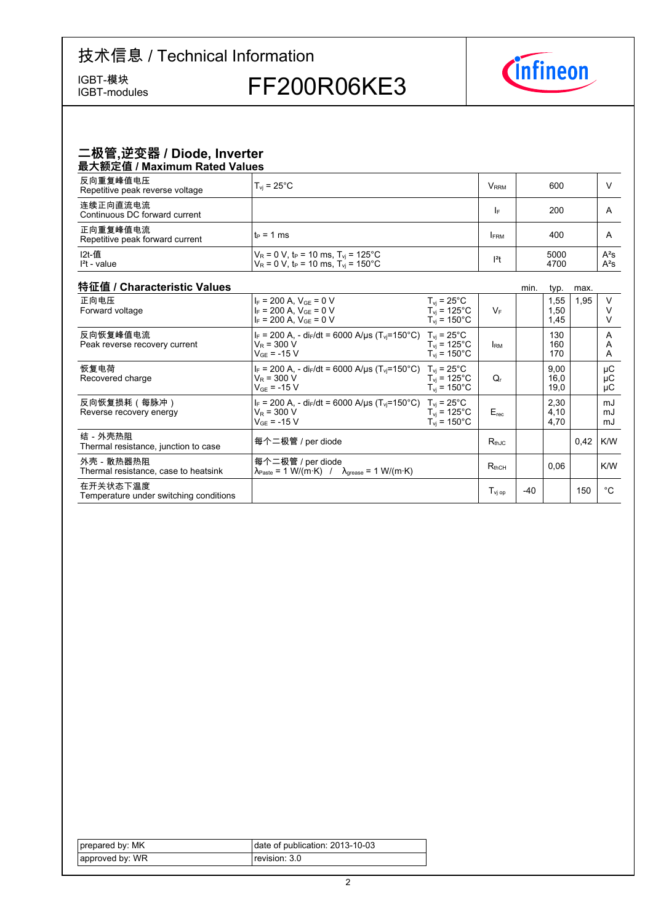## 技术信息 / Technical Information

IGBT-modules

IGBT-模块<br>IGBT-modules FF200R06KE3



### 二极管,逆变器 / Diode, Inverter 最大额定值 / Maximum Rated Values

| 反向重复峰值电压<br>Repetitive peak reverse voltage | $T_{\rm vi}$ = 25°C                                                                                                          | <b>V</b> <sub>RRM</sub> | 600          |                  |  |
|---------------------------------------------|------------------------------------------------------------------------------------------------------------------------------|-------------------------|--------------|------------------|--|
| 连续正向直流电流<br>Continuous DC forward current   |                                                                                                                              | I۴                      | 200          | A                |  |
| 正向重复峰值电流<br>Repetitive peak forward current | $t_P = 1$ ms                                                                                                                 | <b>FRM</b>              | 400          | A                |  |
| I2t-值<br>$l2t$ - value                      | $V_R$ = 0 V, t <sub>P</sub> = 10 ms, T <sub>vi</sub> = 125°C<br>$V_R = 0 V$ , t <sub>P</sub> = 10 ms, T <sub>y</sub> = 150°C | $ ^{2}t$                | 5000<br>4700 | $A^2S$<br>$A^2S$ |  |

### 特征值 / Characteristic

| 特征值 / Characteristic Values                        |                                                                                                                                       |                                                                                   |                              | min.  | typ.                 | max. |                |
|----------------------------------------------------|---------------------------------------------------------------------------------------------------------------------------------------|-----------------------------------------------------------------------------------|------------------------------|-------|----------------------|------|----------------|
| 正向电压<br>Forward voltage                            | $I_F = 200$ A, $V_{GF} = 0$ V<br>$I_F = 200$ A, $V_{GE} = 0$ V<br>$I_F = 200$ A, $V_{GF} = 0$ V                                       | $T_{vi}$ = 25°C<br>$T_{vi}$ = 125 $^{\circ}$ C<br>$T_{\rm vi}$ = 150 $^{\circ}$ C | $V_F$                        |       | 1,55<br>1,50<br>1,45 | 1,95 | $\vee$         |
| 反向恢复峰值电流<br>Peak reverse recovery current          | $I_F$ = 200 A, - di <sub>F</sub> /dt = 6000 A/µs (T <sub>vi</sub> =150°C)<br>$V_R = 300 V$<br>$V_{GF}$ = -15 V                        | $T_{\rm vi}$ = 25°C<br>$T_{vi}$ = 125°C<br>$T_{vi}$ = 150 $^{\circ}$ C            | <b>IRM</b>                   |       | 130<br>160<br>170    |      | A<br>A<br>A    |
| 恢复电荷<br>Recovered charge                           | $I_F = 200$ A, - di <sub>F</sub> /dt = 6000 A/us (T <sub>vi</sub> =150°C) T <sub>vi</sub> = 25°C<br>$V_R = 300 V$<br>$V_{GF}$ = -15 V | $T_{\rm vi}$ = 125°C<br>$T_{\rm vi}$ = 150°C                                      | Q,                           |       | 9,00<br>16,0<br>19,0 |      | μC<br>μC<br>μC |
| 反向恢复损耗(每脉冲)<br>Reverse recovery energy             | $I_F = 200$ A, - di <sub>F</sub> /dt = 6000 A/µs (T <sub>vi</sub> =150°C) T <sub>vi</sub> = 25°C<br>$V_R$ = 300 V<br>$V_{GF}$ = -15 V | $T_{\rm vi}$ = 125°C<br>$T_{vi}$ = 150 $^{\circ}$ C                               | $E_{rec}$                    |       | 2,30<br>4.10<br>4,70 |      | mJ<br>mJ<br>mJ |
| 结-外壳热阻<br>Thermal resistance, junction to case     | 每个二极管 / per diode                                                                                                                     |                                                                                   | $R_{thJC}$                   |       |                      | 0.42 | K/W            |
| 外壳 - 散热器热阻<br>Thermal resistance, case to heatsink | 每个二极管 / per diode<br>$\lambda_{\text{Paste}} = 1 \text{ W/(m·K)}$ / $\lambda_{\text{grease}} = 1 \text{ W/(m·K)}$                     |                                                                                   | $R_{thCH}$                   |       | 0.06                 |      | K/W            |
| 在开关状态下温度<br>Temperature under switching conditions |                                                                                                                                       |                                                                                   | $\mathsf{T}_\mathsf{vi\;oo}$ | $-40$ |                      | 150  | °€             |

| prepared by: MK | date of publication: 2013-10-03 |
|-----------------|---------------------------------|
| approved by: WR | revision: 3.0 l                 |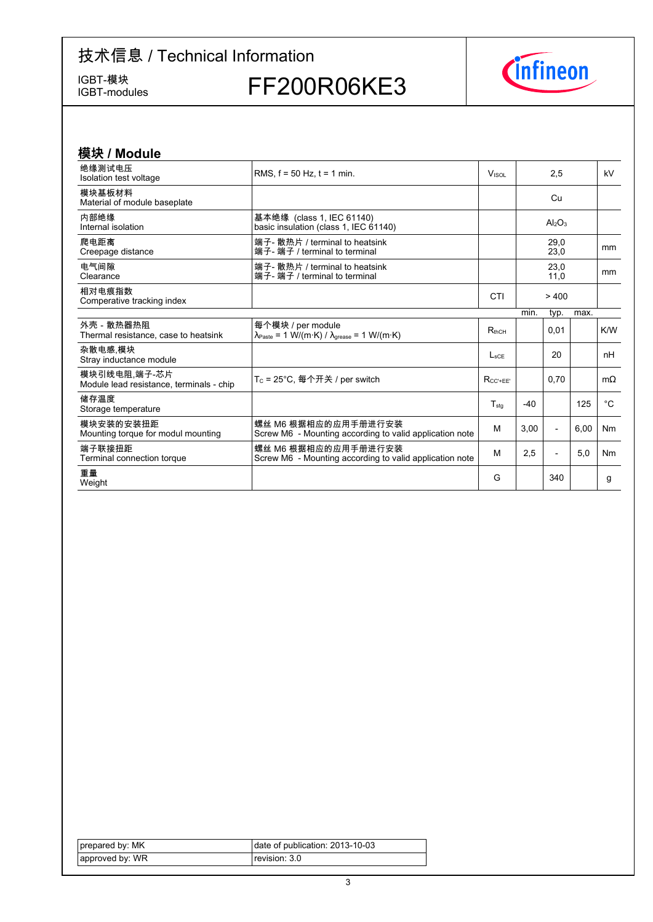# 技术信息 / Technical Information

IGBT-模块<br>IGBT-modules

FF200R06KE3



| 模块 / Module                                              |                                                                                                                 |                 |       |                                |      |               |
|----------------------------------------------------------|-----------------------------------------------------------------------------------------------------------------|-----------------|-------|--------------------------------|------|---------------|
| 绝缘测试电压<br>Isolation test voltage                         | RMS. $f = 50$ Hz. $t = 1$ min.                                                                                  | <b>VISOL</b>    |       | 2.5                            |      | kV            |
| 模块基板材料<br>Material of module baseplate                   |                                                                                                                 |                 |       | Cu                             |      |               |
| 内部绝缘<br>Internal isolation                               | 基本绝缘 (class 1, IEC 61140)<br>basic insulation (class 1, IEC 61140)                                              |                 |       | Al <sub>2</sub> O <sub>3</sub> |      |               |
| 爬电距离<br>Creepage distance                                | 端子- 散热片 / terminal to heatsink<br>端子- 端子 / terminal to terminal                                                 |                 |       | 29,0<br>23,0                   |      | <sub>mm</sub> |
| 电气间隙<br>Clearance                                        | 端子- 散热片 / terminal to heatsink<br>端子- 端子 / terminal to terminal                                                 |                 |       | 23,0<br>11,0                   |      | mm            |
| 相对电痕指数<br>Comperative tracking index                     |                                                                                                                 | CTI             |       | >400                           |      |               |
|                                                          |                                                                                                                 |                 | min.  | typ.                           | max. |               |
| 外壳 - 散热器热阻<br>Thermal resistance, case to heatsink       | 每个模块 / per module<br>$\lambda_{\text{Paste}} = 1 \text{ W/(m·K)} / \lambda_{\text{grease}} = 1 \text{ W/(m·K)}$ | $R_{thCH}$      |       | 0,01                           |      | K/W           |
| 杂散电感 模块<br>Stray inductance module                       |                                                                                                                 | $L_{\rm sCF}$   |       | 20                             |      | nH            |
| 模块引线电阻,端子-芯片<br>Module lead resistance, terminals - chip | T <sub>C</sub> = 25°C, 每个开关 / per switch                                                                        | $R_{CC' + EE'}$ |       | 0.70                           |      | $m\Omega$     |
| 储存温度<br>Storage temperature                              |                                                                                                                 | $T_{sta}$       | $-40$ |                                | 125  | $^{\circ}C$   |
| 模块安装的安装扭距<br>Mounting torque for modul mounting          | 螺丝 M6 根据相应的应用手册进行安装<br>Screw M6 - Mounting according to valid application note                                  | M               | 3.00  | $\overline{\phantom{a}}$       | 6.00 | Nm            |
| 端子联接扭距<br>Terminal connection torque                     | 螺丝 M6 根据相应的应用手册进行安装<br>Screw M6 - Mounting according to valid application note                                  | M               | 2,5   | $\overline{a}$                 | 5.0  | <b>Nm</b>     |
| 重量<br>Weight                                             |                                                                                                                 | G               |       | 340                            |      | g             |

| prepared by: MK | date of publication: 2013-10-03 |
|-----------------|---------------------------------|
| approved by: WR | revision: 3.0                   |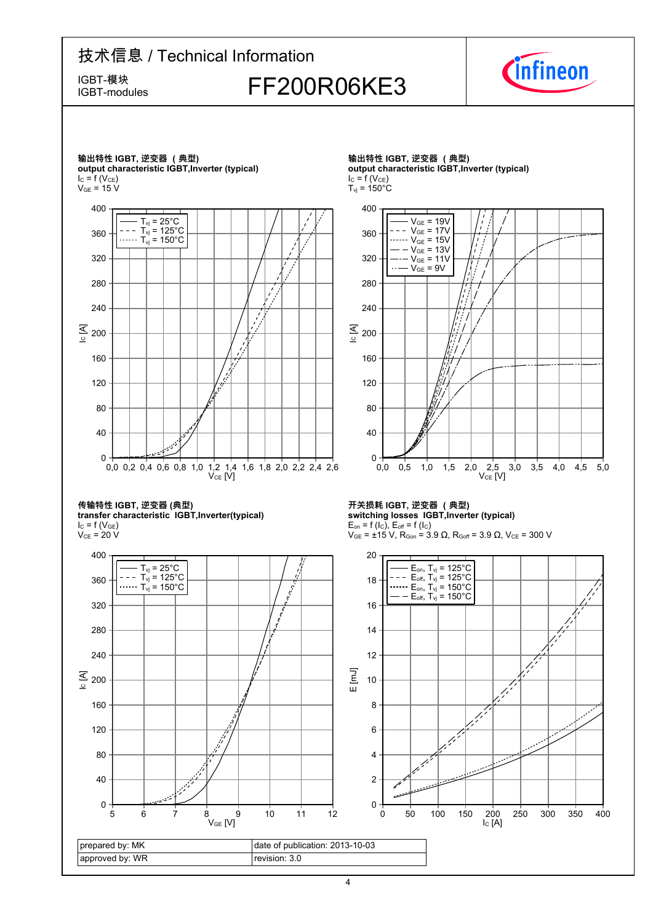# 技术信息 / Technical Information IGBT-模块<br>IGBT-modules FF200R06KE3

IGBT-modules



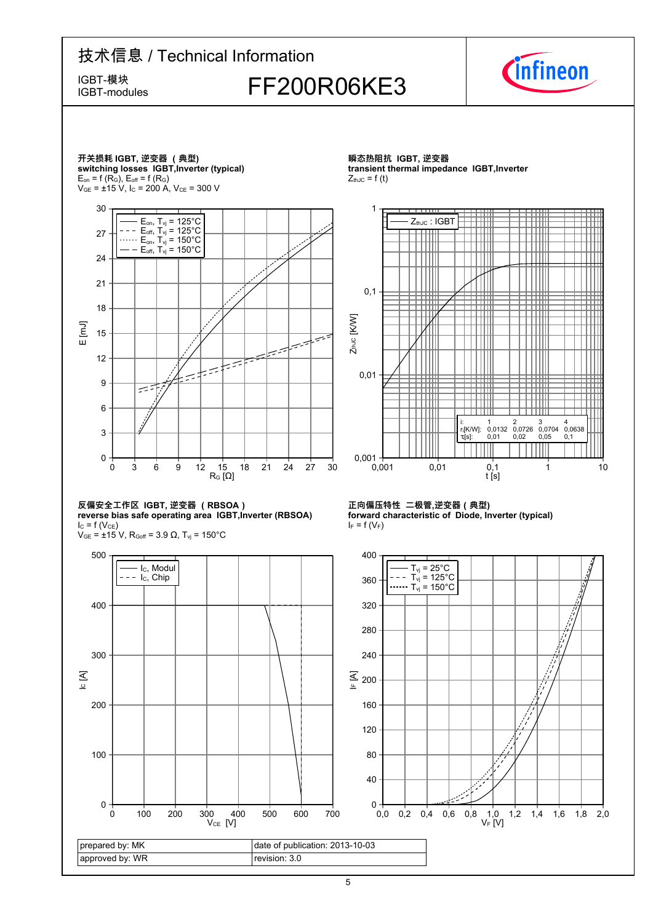### 技术信息 / Technical Information IGBT-模块<br>IGBT-modules FF200R06KE3 IGBT-modules



π

⊞

╫╫ Ш

3 0,0704 0,05

ШI

4 0,0638 0,1



5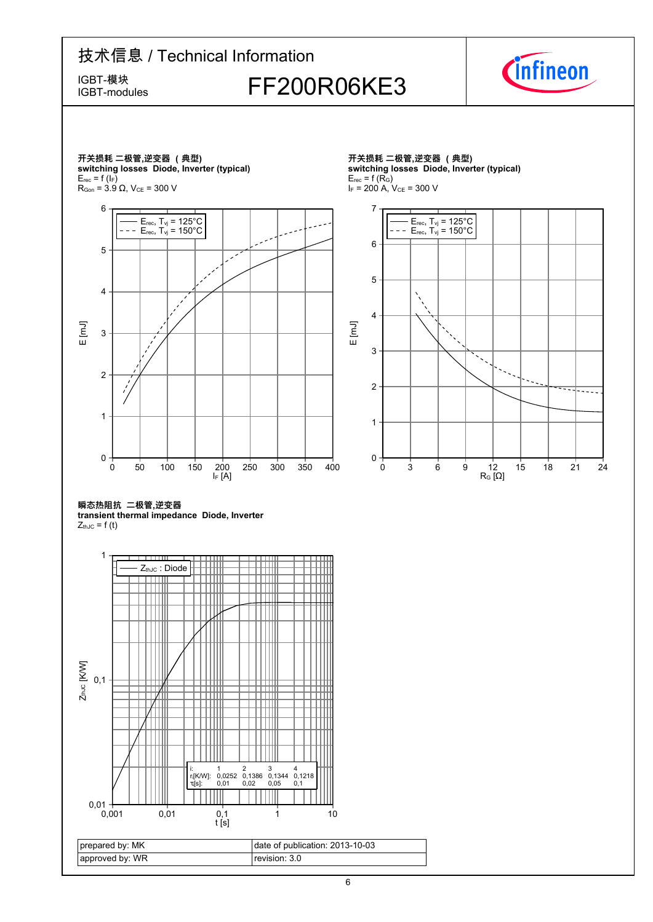# 技术信息 / Technical Information IGBT-模块<br>IGBT-modules FF200R06KE3



IGBT-modules



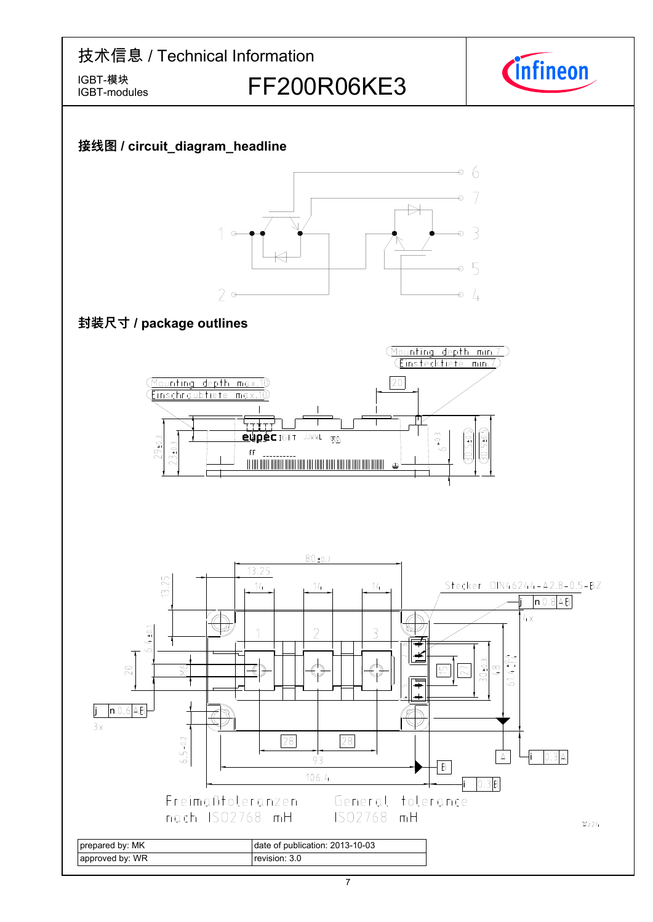